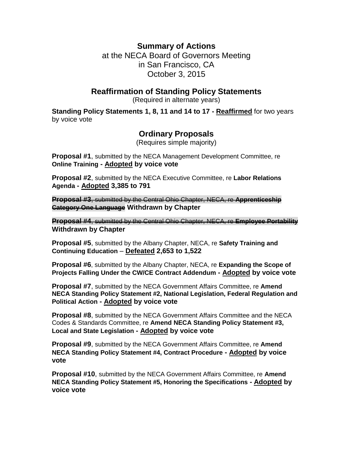# **Summary of Actions**

at the NECA Board of Governors Meeting in San Francisco, CA October 3, 2015

### **Reaffirmation of Standing Policy Statements**

(Required in alternate years)

**Standing Policy Statements 1, 8, 11 and 14 to 17 - Reaffirmed** for two years by voice vote

# **Ordinary Proposals**

(Requires simple majority)

**Proposal #1**, submitted by the NECA Management Development Committee, re **Online Training - Adopted by voice vote**

**Proposal #2**, submitted by the NECA Executive Committee, re **Labor Relations Agenda - Adopted 3,385 to 791**

**Proposal #3**, submitted by the Central Ohio Chapter, NECA, re **Apprenticeship Category One Language Withdrawn by Chapter**

**Proposal #4**, submitted by the Central Ohio Chapter, NECA, re **Employee Portability Withdrawn by Chapter**

**Proposal #5**, submitted by the Albany Chapter, NECA, re **Safety Training and Continuing Education** – **Defeated 2,653 to 1,522**

**Proposal #6**, submitted by the Albany Chapter, NECA, re **Expanding the Scope of Projects Falling Under the CW/CE Contract Addendum - Adopted by voice vote**

**Proposal #7**, submitted by the NECA Government Affairs Committee, re **Amend NECA Standing Policy Statement #2, National Legislation, Federal Regulation and Political Action - Adopted by voice vote**

**Proposal #8**, submitted by the NECA Government Affairs Committee and the NECA Codes & Standards Committee, re **Amend NECA Standing Policy Statement #3, Local and State Legislation - Adopted by voice vote**

**Proposal #9**, submitted by the NECA Government Affairs Committee, re **Amend NECA Standing Policy Statement #4, Contract Procedure - Adopted by voice vote**

**Proposal #10**, submitted by the NECA Government Affairs Committee, re **Amend NECA Standing Policy Statement #5, Honoring the Specifications - Adopted by voice vote**